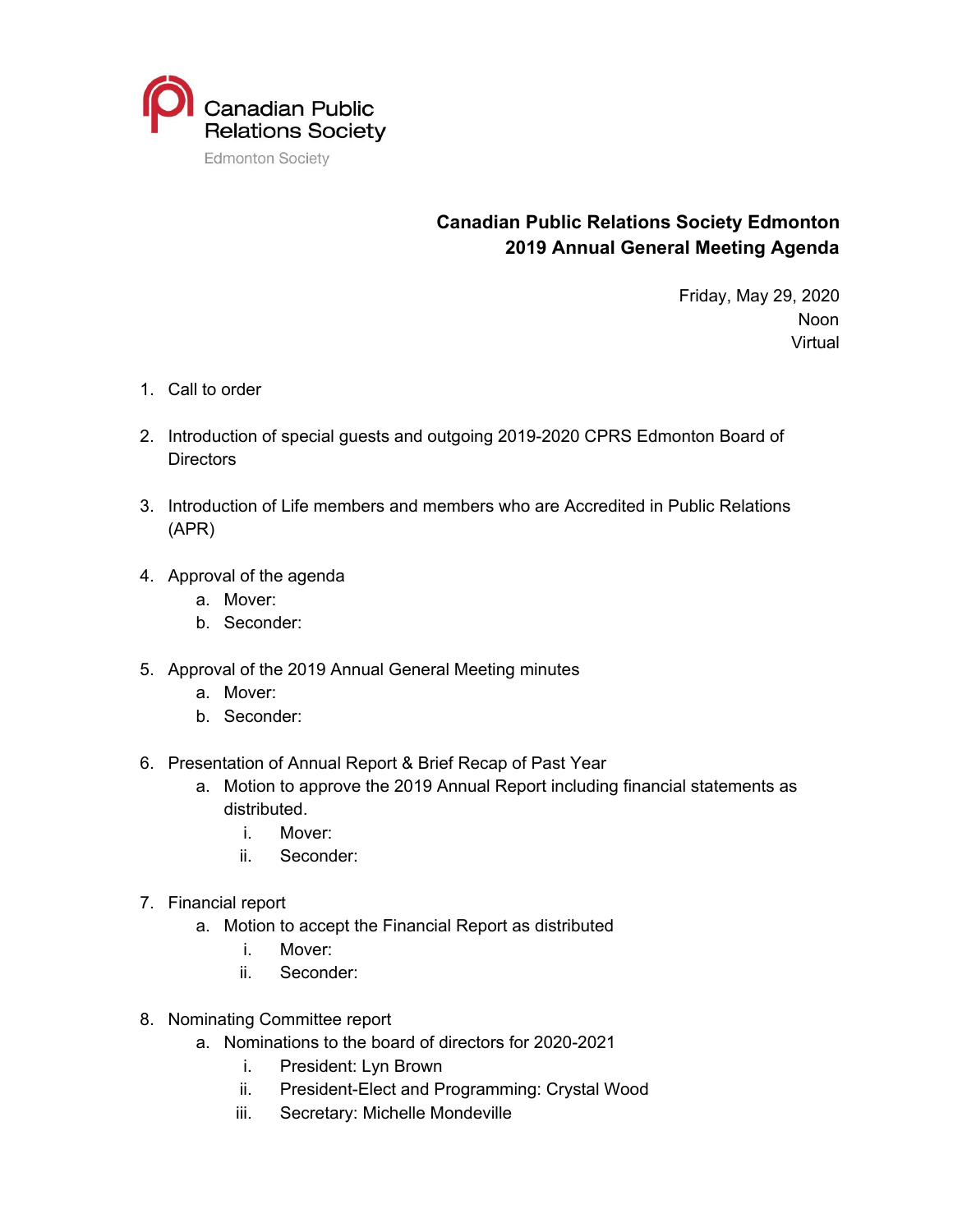

## **Canadian Public Relations Society Edmonton 2019 Annual General Meeting Agenda**

Friday, May 29, 2020 Noon **Virtual** 

- 1. Call to order
- 2. Introduction of special guests and outgoing 2019-2020 CPRS Edmonton Board of **Directors**
- 3. Introduction of Life members and members who are Accredited in Public Relations (APR)
- 4. Approval of the agenda
	- a. Mover:
	- b. Seconder:
- 5. Approval of the 2019 Annual General Meeting minutes
	- a. Mover:
	- b. Seconder:
- 6. Presentation of Annual Report & Brief Recap of Past Year
	- a. Motion to approve the 2019 Annual Report including financial statements as distributed.
		- i. Mover:
		- ii. Seconder:
- 7. Financial report
	- a. Motion to accept the Financial Report as distributed
		- i. Mover:
		- ii. Seconder:
- 8. Nominating Committee report
	- a. Nominations to the board of directors for 2020-2021
		- i. President: Lyn Brown
		- ii. President-Elect and Programming: Crystal Wood
		- iii. Secretary: Michelle Mondeville